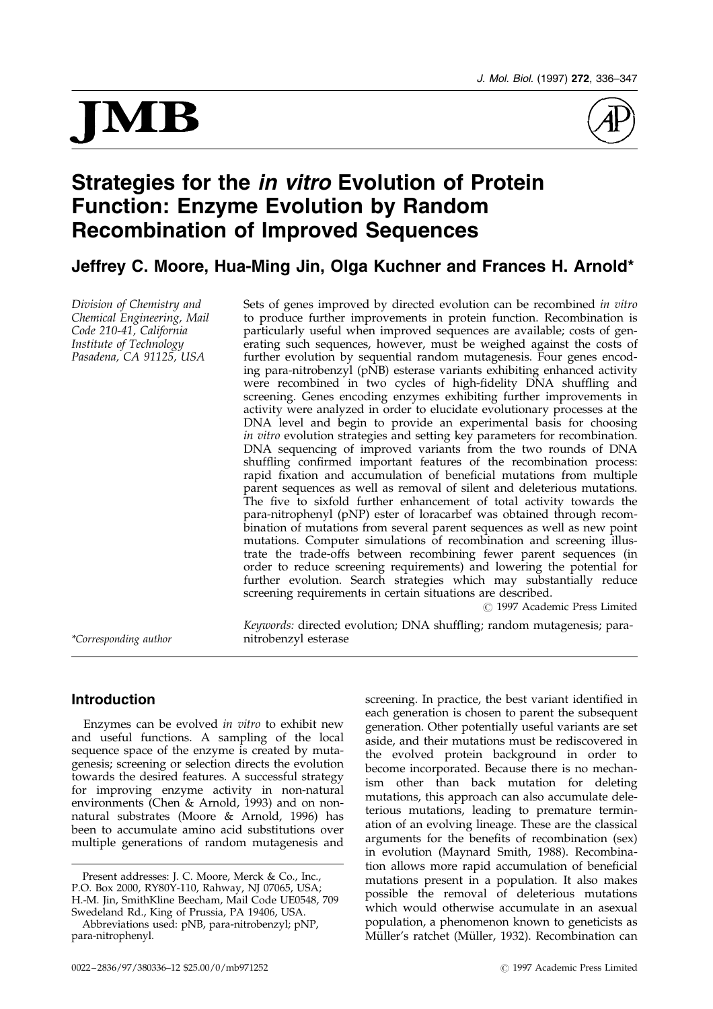# JMB



# Strategies for the *in vitro* Evolution of Protein Function: Enzyme Evolution by Random Recombination of Improved Sequences

Jeffrey C. Moore, Hua-Ming Jin, Olga Kuchner and Frances H. Arnold\*

Division of Chemistry and Chemical Engineering, Mail Code 210-41, California Institute of Technology Pasadena, CA 91125, USA

Sets of genes improved by directed evolution can be recombined in vitro to produce further improvements in protein function. Recombination is particularly useful when improved sequences are available; costs of generating such sequences, however, must be weighed against the costs of further evolution by sequential random mutagenesis. Four genes encoding para-nitrobenzyl (pNB) esterase variants exhibiting enhanced activity were recombined in two cycles of high-fidelity DNA shuffling and screening. Genes encoding enzymes exhibiting further improvements in activity were analyzed in order to elucidate evolutionary processes at the DNA level and begin to provide an experimental basis for choosing in vitro evolution strategies and setting key parameters for recombination. DNA sequencing of improved variants from the two rounds of DNA shuffling confirmed important features of the recombination process: rapid fixation and accumulation of beneficial mutations from multiple parent sequences as well as removal of silent and deleterious mutations. The five to sixfold further enhancement of total activity towards the para-nitrophenyl (pNP) ester of loracarbef was obtained through recombination of mutations from several parent sequences as well as new point mutations. Computer simulations of recombination and screening illustrate the trade-offs between recombining fewer parent sequences (in order to reduce screening requirements) and lowering the potential for further evolution. Search strategies which may substantially reduce screening requirements in certain situations are described.

 $\odot$  1997 Academic Press Limited

Keywords: directed evolution; DNA shuffling; random mutagenesis; para-\*Corresponding author nitrobenzyl esterase

# Introduction

Enzymes can be evolved in vitro to exhibit new and useful functions. A sampling of the local sequence space of the enzyme is created by mutagenesis; screening or selection directs the evolution towards the desired features. A successful strategy for improving enzyme activity in non-natural environments [\(Chen &](#page-11-0) Arnold, 1993) and on nonnatural substrates [\(Moore &](#page-11-0) Arnold, 1996) has been to accumulate amino acid substitutions over multiple generations of random mutagenesis and

screening. In practice, the best variant identified in each generation is chosen to parent the subsequent generation. Other potentially useful variants are set aside, and their mutations must be rediscovered in the evolved protein background in order to become incorporated. Because there is no mechanism other than back mutation for deleting mutations, this approach can also accumulate deleterious mutations, leading to premature termination of an evolving lineage. These are the classical arguments for the benefits of recombination (sex) in evolution [\(Maynard](#page-11-0) Smith, 1988). Recombination allows more rapid accumulation of beneficial mutations present in a population. It also makes possible the removal of deleterious mutations which would otherwise accumulate in an asexual population, a phenomenon known to geneticists as Müller's ratchet (Müller, 1932). Recombination can

Present addresses: J. C. Moore, Merck & Co., Inc., P.O. Box 2000, RY80Y-110, Rahway, NJ 07065, USA; H.-M. Jin, SmithKline Beecham, Mail Code UE0548, 709 Swedeland Rd., King of Prussia, PA 19406, USA.

Abbreviations used: pNB, para-nitrobenzyl; pNP, para-nitrophenyl.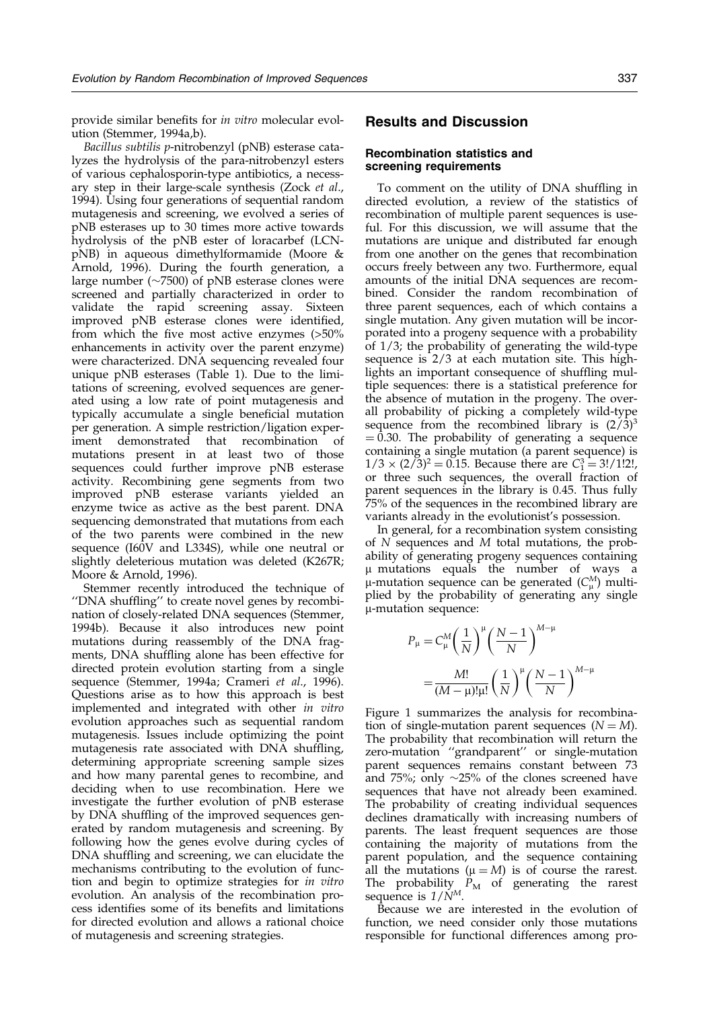provide similar benefits for in vitro molecular evolution [\(Stemmer](#page-11-0), 1994[a,b\).](#page-11-0)

Bacillus subtilis p-nitrobenzyl (pNB) esterase catalyzes the hydrolysis of the para-nitrobenzyl esters of various cephalosporin-type antibiotics, a necessary step in their large-scale synthesis [\(Zock](#page-11-0) et al., 1994). Using four generations of sequential random mutagenesis and screening, we evolved a series of pNB esterases up to 30 times more active towards hydrolysis of the pNB ester of loracarbef (LCNpNB) in aqueous dimethylformamide [\(Moore](#page-11-0) & Arnold, 1996). During the fourth generation, a large number ( $\sim$ 7500) of pNB esterase clones were screened and partially characterized in order to validate the rapid screening assay. Sixteen improved pNB esterase clones were identified, from which the five most active enzymes  $(>50\%)$ enhancements in activity over the parent enzyme) were characterized. DNA sequencing revealed four unique pNB esterases [\(Table](#page-2-0) 1). Due to the limitations of screening, evolved sequences are generated using a low rate of point mutagenesis and typically accumulate a single beneficial mutation per generation. A simple restriction/ligation experiment demonstrated that recombination of mutations present in at least two of those sequences could further improve pNB esterase activity. Recombining gene segments from two improved pNB esterase variants yielded an enzyme twice as active as the best parent. DNA sequencing demonstrated that mutations from each of the two parents were combined in the new sequence (I60V and L334S), while one neutral or slightly deleterious mutation was deleted (K267R; [Moore](#page-11-0) & Arnold, 1996).

Stemmer recently introduced the technique of "DNA shuffling" to create novel genes by recombination of closely-related DNA sequences [\(Stemmer](#page-11-0), 1994b). Because it also introduces new point mutations during reassembly of the DNA fragments, DNA shuffling alone has been effective for directed protein evolution starting from a single sequence [\(Stemmer](#page-11-0), 1994a; [Crameri](#page-11-0) et al., 1996). Questions arise as to how this approach is best implemented and integrated with other in vitro evolution approaches such as sequential random mutagenesis. Issues include optimizing the point mutagenesis rate associated with DNA shuffling, determining appropriate screening sample sizes and how many parental genes to recombine, and deciding when to use recombination. Here we investigate the further evolution of pNB esterase by DNA shuffling of the improved sequences generated by random mutagenesis and screening. By following how the genes evolve during cycles of DNA shuffling and screening, we can elucidate the mechanisms contributing to the evolution of function and begin to optimize strategies for in vitro evolution. An analysis of the recombination process identifies some of its benefits and limitations for directed evolution and allows a rational choice of mutagenesis and screening strategies.

# Results and Discussion

#### Recombination statistics and screening requirements

To comment on the utility of DNA shuffling in directed evolution, a review of the statistics of recombination of multiple parent sequences is useful. For this discussion, we will assume that the mutations are unique and distributed far enough from one another on the genes that recombination occurs freely between any two. Furthermore, equal amounts of the initial DNA sequences are recombined. Consider the random recombination of three parent sequences, each of which contains a single mutation. Any given mutation will be incorporated into a progeny sequence with a probability of 1/3; the probability of generating the wild-type sequence is 2/3 at each mutation site. This highlights an important consequence of shuffling multiple sequences: there is a statistical preference for the absence of mutation in the progeny. The overall probability of picking a completely wild-type sequence from the recombined library is  $(2/3)^3$  $=$  0.30. The probability of generating a sequence containing a single mutation (a parent sequence) is  $1/3 \times (2/3)^2 = 0.15$ . Because there are  $C_1^3 = 3!/1!2!$ , or three such sequences, the overall fraction of parent sequences in the library is 0.45. Thus fully 75% of the sequences in the recombined library are variants already in the evolutionist's possession.

In general, for a recombination system consisting of N sequences and M total mutations, the probability of generating progeny sequences containing m mutations equals the number of ways a  $\mu$ -mutation sequence can be generated ( $C_{\mu}^{M}$ ) multiplied by the probability of generating any single m-mutation sequence:

$$
P_{\mu} = C_{\mu}^{M} \left(\frac{1}{N}\right)^{\mu} \left(\frac{N-1}{N}\right)^{M-\mu}
$$

$$
= \frac{M!}{(M-\mu)!\mu!} \left(\frac{1}{N}\right)^{\mu} \left(\frac{N-1}{N}\right)^{M-\mu}
$$

[Figure](#page-3-0) 1 summarizes the analysis for recombination of single-mutation parent sequences  $(N = M)$ . The probability that recombination will return the zero-mutation "grandparent" or single-mutation parent sequences remains constant between 73 and 75%; only  $\sim$ 25% of the clones screened have sequences that have not already been examined. The probability of creating individual sequences declines dramatically with increasing numbers of parents. The least frequent sequences are those containing the majority of mutations from the parent population, and the sequence containing all the mutations ( $\mu = M$ ) is of course the rarest. The probability  $P_M$  of generating the rarest sequence is  $1/\dot{N}^M$ .

Because we are interested in the evolution of function, we need consider only those mutations responsible for functional differences among pro-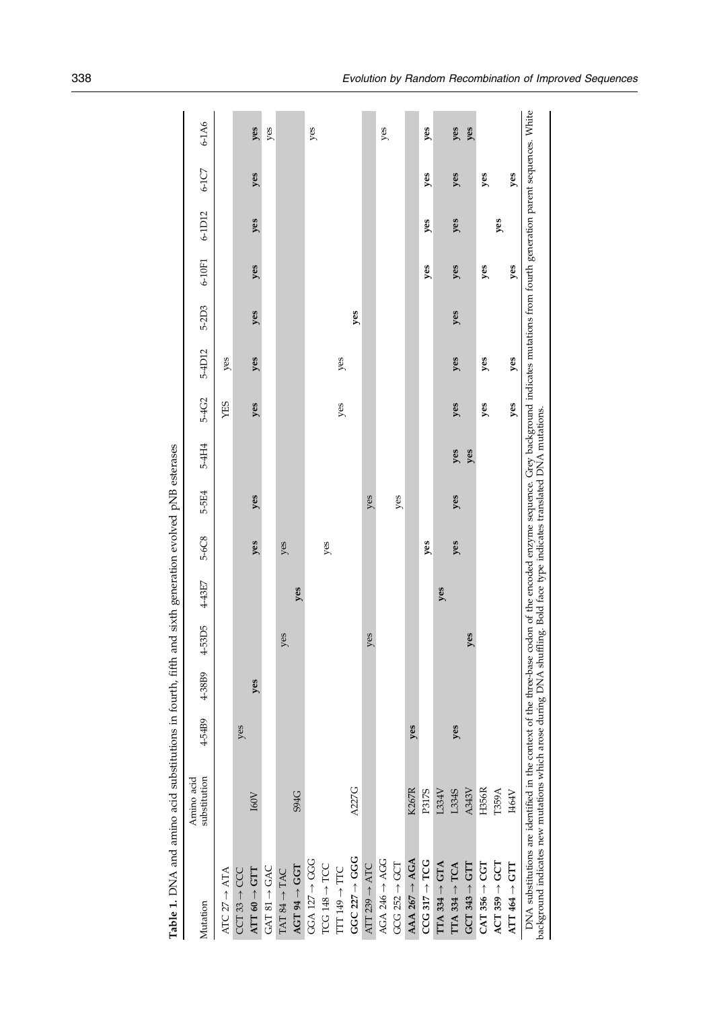<span id="page-2-0"></span>

| Table 1. DNA and amino acid substitutions in fourth, fifth and sixth generation evolved pNB esterases                                                                                                                                                                                                                 |                            |        |        |        |        |       |       |       |       |        |       |            |        |       |       |
|-----------------------------------------------------------------------------------------------------------------------------------------------------------------------------------------------------------------------------------------------------------------------------------------------------------------------|----------------------------|--------|--------|--------|--------|-------|-------|-------|-------|--------|-------|------------|--------|-------|-------|
| Mutation                                                                                                                                                                                                                                                                                                              | substitution<br>Amino acid | 4-54B9 | 4-38B9 | 4-53D5 | 4-43E7 | 5-6C8 | 5-5E4 | 5-4H4 | 5-4G2 | 5-4D12 | 5-2D3 | $6 - 10F1$ | 6-1D12 | 6-1C7 | 6-1A6 |
| ATC $27 \rightarrow ATA$                                                                                                                                                                                                                                                                                              |                            |        |        |        |        |       |       |       | XES   | yes    |       |            |        |       |       |
| $CCT 33 \rightarrow CCC$                                                                                                                                                                                                                                                                                              |                            | yes    |        |        |        |       |       |       |       |        |       |            |        |       |       |
| $\mathrm{ATT}~60 \rightarrow \mathrm{GTT}$                                                                                                                                                                                                                                                                            | I60V                       |        | yes    |        |        | yes   | yes   |       | yes   | yes    | yes   | yes        | yes    | yes   | yes   |
| $\text{GAT 81} \rightarrow \text{GAC}$                                                                                                                                                                                                                                                                                |                            |        |        |        |        |       |       |       |       |        |       |            |        |       | yes   |
| $TAT$ 84 $\rightarrow$ TAC                                                                                                                                                                                                                                                                                            |                            |        |        | yes    |        | yes   |       |       |       |        |       |            |        |       |       |
| $AGT 94 \rightarrow GGT$                                                                                                                                                                                                                                                                                              | <b>S94G</b>                |        |        |        | yes    |       |       |       |       |        |       |            |        |       |       |
| $GGA$ 127 $\rightarrow$ GGG                                                                                                                                                                                                                                                                                           |                            |        |        |        |        |       |       |       |       |        |       |            |        |       | yes   |
| $TCG$ 148 $\rightarrow$ TCC                                                                                                                                                                                                                                                                                           |                            |        |        |        |        | yes   |       |       |       |        |       |            |        |       |       |
| TIT $149 \rightarrow TTC$                                                                                                                                                                                                                                                                                             |                            |        |        |        |        |       |       |       | yes   | yes    |       |            |        |       |       |
| $GGC 227 \rightarrow GGG$                                                                                                                                                                                                                                                                                             | <b>A227G</b>               |        |        |        |        |       |       |       |       |        | yes   |            |        |       |       |
| ATT 239 $\rightarrow$ ATC                                                                                                                                                                                                                                                                                             |                            |        |        | res    |        |       | yes   |       |       |        |       |            |        |       |       |
| AGA 246 $\rightarrow$ AGG                                                                                                                                                                                                                                                                                             |                            |        |        |        |        |       |       |       |       |        |       |            |        |       | yes   |
| $GCG 252 \rightarrow GCT$                                                                                                                                                                                                                                                                                             |                            |        |        |        |        |       | yes   |       |       |        |       |            |        |       |       |
| $AAA$ 267 $\rightarrow$ AGA                                                                                                                                                                                                                                                                                           | <b>K267R</b>               | yes    |        |        |        |       |       |       |       |        |       |            |        |       |       |
| $CCG$ 317 $\rightarrow$ TCG                                                                                                                                                                                                                                                                                           | P317S                      |        |        |        |        | yes   |       |       |       |        |       | yes        | yes    | yes   | yes   |
| $ITA$ 334 $\rightarrow$ GTA                                                                                                                                                                                                                                                                                           | L334V                      |        |        |        | yes    |       |       |       |       |        |       |            |        |       |       |
| $TTA 334 \rightarrow TCA$                                                                                                                                                                                                                                                                                             | L334S                      | yes    |        |        |        | yes   | yes   | yes   | yes   | yes    | yes   | yes        | yes    | yes   | yes   |
| $GCT 343 \rightarrow GTT$                                                                                                                                                                                                                                                                                             | A343V                      |        |        | res    |        |       |       | yes   |       |        |       |            |        |       | yes   |
| $CAT 356 \rightarrow CGT$                                                                                                                                                                                                                                                                                             | H356R                      |        |        |        |        |       |       |       | yes   | yes    |       | yes        |        | yes   |       |
| $ACT 359 \rightarrow GCT$                                                                                                                                                                                                                                                                                             | T359A                      |        |        |        |        |       |       |       |       |        |       |            | yes    |       |       |
| ATT 464 $\rightarrow$ GTT                                                                                                                                                                                                                                                                                             | I464V                      |        |        |        |        |       |       |       | yes   | yes    |       | yes        |        | yes   |       |
| DNA substitutions are identified in the context of the three-base codon of the encoded enzyme sequence. Grey background indicates mutations from fourth generation parent sequences. White<br>background indicates new mutations which arose during DNA shuffling. Bold face type indicates translated DNA mutations. |                            |        |        |        |        |       |       |       |       |        |       |            |        |       |       |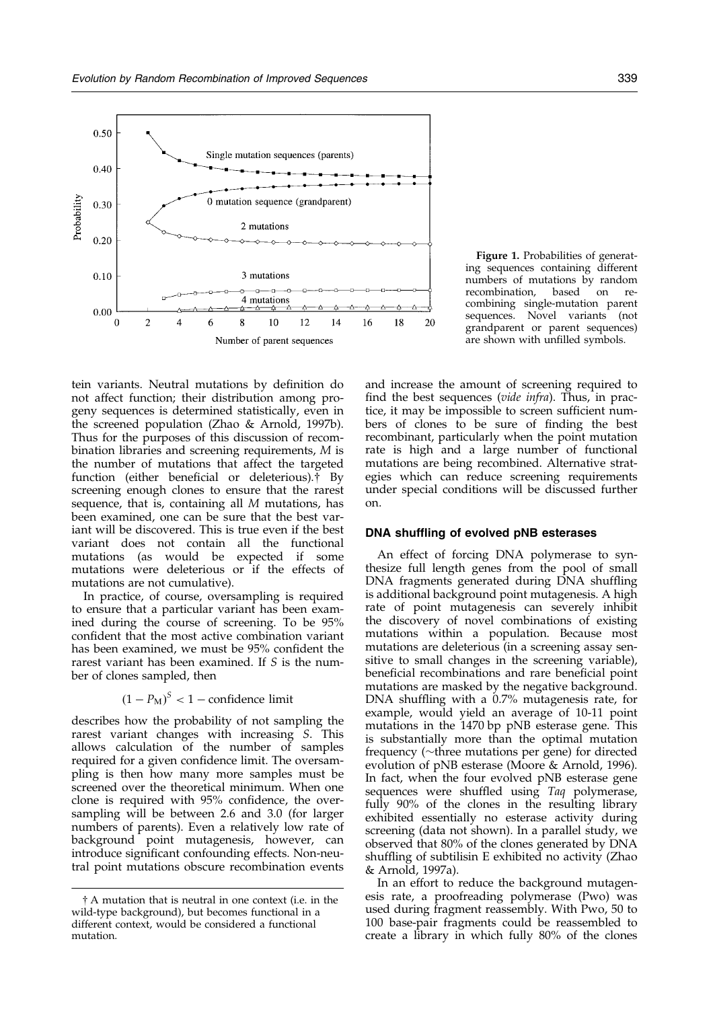<span id="page-3-0"></span>

tein variants. Neutral mutations by definition do not affect function; their distribution among progeny sequences is determined statistically, even in the screened population [\(Zhao](#page-11-0) & Arnold, 1997b). Thus for the purposes of this discussion of recombination libraries and screening requirements, M is the number of mutations that affect the targeted function (either beneficial or deleterious). $\ddot{\uparrow}$  By screening enough clones to ensure that the rarest sequence, that is, containing all M mutations, has been examined, one can be sure that the best variant will be discovered. This is true even if the best variant does not contain all the functional mutations (as would be expected if some mutations were deleterious or if the effects of mutations are not cumulative).

In practice, of course, oversampling is required to ensure that a particular variant has been examined during the course of screening. To be 95% confident that the most active combination variant has been examined, we must be 95% confident the rarest variant has been examined. If S is the number of clones sampled, then

 $(1 - P_M)^S < 1$  – confidence limit

describes how the probability of not sampling the rarest variant changes with increasing S. This allows calculation of the number of samples required for a given confidence limit. The oversampling is then how many more samples must be screened over the theoretical minimum. When one clone is required with  $95%$  confidence, the oversampling will be between 2.6 and 3.0 (for larger numbers of parents). Even a relatively low rate of background point mutagenesis, however, can introduce significant confounding effects. Non-neutral point mutations obscure recombination events

Figure 1. Probabilities of generating sequences containing different numbers of mutations by random recombination, based on recombining single-mutation parent sequences. Novel variants (not grandparent or parent sequences) are shown with unfilled symbols.

and increase the amount of screening required to find the best sequences (vide infra). Thus, in practice, it may be impossible to screen sufficient numbers of clones to be sure of finding the best recombinant, particularly when the point mutation rate is high and a large number of functional mutations are being recombined. Alternative strategies which can reduce screening requirements under special conditions will be discussed further on.

#### DNA shuffling of evolved pNB esterases

An effect of forcing DNA polymerase to synthesize full length genes from the pool of small DNA fragments generated during DNA shuffling is additional background point mutagenesis. A high rate of point mutagenesis can severely inhibit the discovery of novel combinations of existing mutations within a population. Because most mutations are deleterious (in a screening assay sensitive to small changes in the screening variable), beneficial recombinations and rare beneficial point mutations are masked by the negative background. DNA shuffling with a  $0.7\%$  mutagenesis rate, for example, would yield an average of 10-11 point mutations in the 1470 bp pNB esterase gene. This is substantially more than the optimal mutation frequency ( $\sim$ three mutations per gene) for directed evolution of pNB esterase [\(Moore](#page-11-0) & Arnold, 1996). In fact, when the four evolved pNB esterase gene sequences were shuffled using Taq polymerase, fully 90% of the clones in the resulting library exhibited essentially no esterase activity during screening (data not shown). In a parallel study, we observed that 80% of the clones generated by DNA shuffling of subtilisin E exhibited no activity [\(Zhao](#page-11-0) & Arnold, 1997a).

In an effort to reduce the background mutagenesis rate, a proofreading polymerase (Pwo) was used during fragment reassembly. With Pwo, 50 to 100 base-pair fragments could be reassembled to create a library in which fully 80% of the clones

<sup>{</sup> A mutation that is neutral in one context (i.e. in the wild-type background), but becomes functional in a different context, would be considered a functional mutation.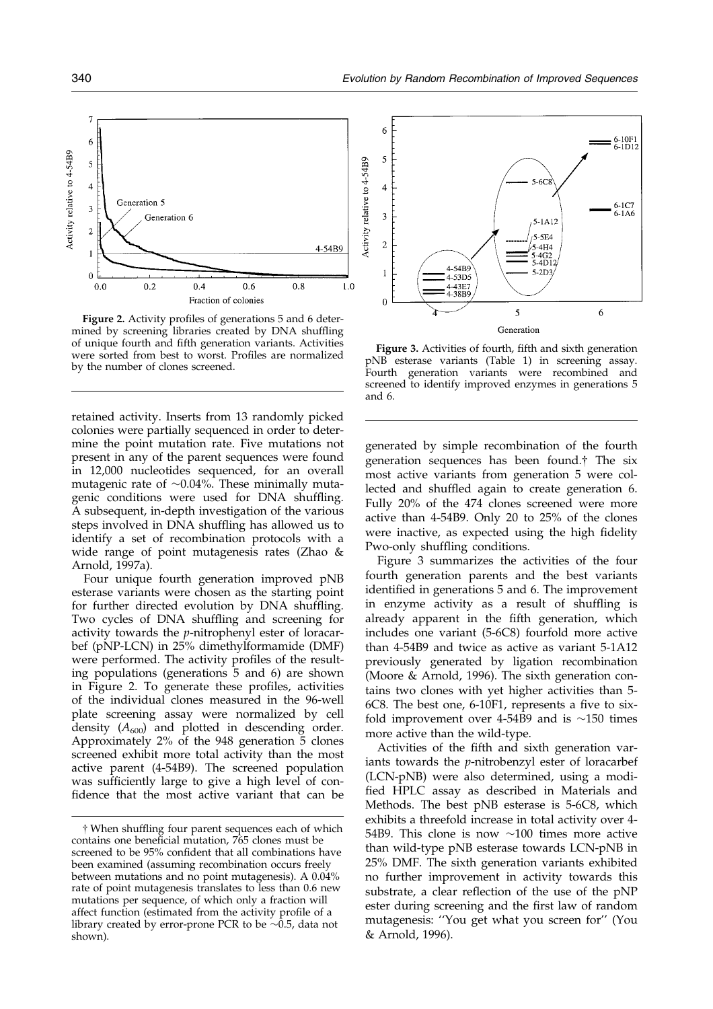<span id="page-4-0"></span>

Figure 2. Activity profiles of generations 5 and 6 determined by screening libraries created by DNA shuffling of unique fourth and fifth generation variants. Activities were sorted from best to worst. Profiles are normalized by the number of clones screened.

retained activity. Inserts from 13 randomly picked colonies were partially sequenced in order to determine the point mutation rate. Five mutations not present in any of the parent sequences were found in 12,000 nucleotides sequenced, for an overall mutagenic rate of  $\sim 0.04\%$ . These minimally mutagenic conditions were used for DNA shuffling. A subsequent, in-depth investigation of the various steps involved in DNA shuffling has allowed us to identify a set of recombination protocols with a wide range of point mutagenesis rates [\(Zhao](#page-11-0) & Arnold, 1997a).

Four unique fourth generation improved pNB esterase variants were chosen as the starting point for further directed evolution by DNA shuffling. Two cycles of DNA shuffling and screening for activity towards the p-nitrophenyl ester of loracarbef (pNP-LCN) in 25% dimethylformamide (DMF) were performed. The activity profiles of the resulting populations (generations 5 and 6) are shown in Figure 2. To generate these profiles, activities of the individual clones measured in the 96-well plate screening assay were normalized by cell density  $(A_{600})$  and plotted in descending order. Approximately 2% of the 948 generation 5 clones screened exhibit more total activity than the most active parent (4-54B9). The screened population was sufficiently large to give a high level of confidence that the most active variant that can be



Figure 3. Activities of fourth, fifth and sixth generation pNB esterase variants [\(Table](#page-2-0) 1) in screening assay. Fourth generation variants were recombined and screened to identify improved enzymes in generations 5 and 6.

generated by simple recombination of the fourth generation sequences has been found.{ The six most active variants from generation 5 were collected and shuffled again to create generation 6. Fully 20% of the 474 clones screened were more active than 4-54B9. Only 20 to 25% of the clones were inactive, as expected using the high fidelity Pwo-only shuffling conditions.

Figure 3 summarizes the activities of the four fourth generation parents and the best variants identified in generations 5 and 6. The improvement in enzyme activity as a result of shuffling is already apparent in the fifth generation, which includes one variant (5-6C8) fourfold more active than 4-54B9 and twice as active as variant 5-1A12 previously generated by ligation recombination [\(Moore](#page-11-0) & Arnold, 1996). The sixth generation contains two clones with yet higher activities than 5-  $6C8$ . The best one,  $6-10F1$ , represents a five to sixfold improvement over 4-54B9 and is  $\sim$ 150 times more active than the wild-type.

Activities of the fifth and sixth generation variants towards the p-nitrobenzyl ester of loracarbef (LCN-pNB) were also determined, using a modi fied HPLC assay as described in Materials and Methods. The best pNB esterase is 5-6C8, which exhibits a threefold increase in total activity over 4- 54B9. This clone is now  $\sim$ 100 times more active than wild-type pNB esterase towards LCN-pNB in 25% DMF. The sixth generation variants exhibited no further improvement in activity towards this substrate, a clear reflection of the use of the pNP ester during screening and the first law of random mutagenesis: "You get what you screen for" [\(You](#page-11-0) & Arnold, 1996).

 $\dagger$  When shuffling four parent sequences each of which contains one beneficial mutation, 765 clones must be screened to be 95% confident that all combinations have been examined (assuming recombination occurs freely between mutations and no point mutagenesis). A 0.04% rate of point mutagenesis translates to less than 0.6 new mutations per sequence, of which only a fraction will affect function (estimated from the activity profile of a library created by error-prone PCR to be  $\sim 0.5$ , data not shown).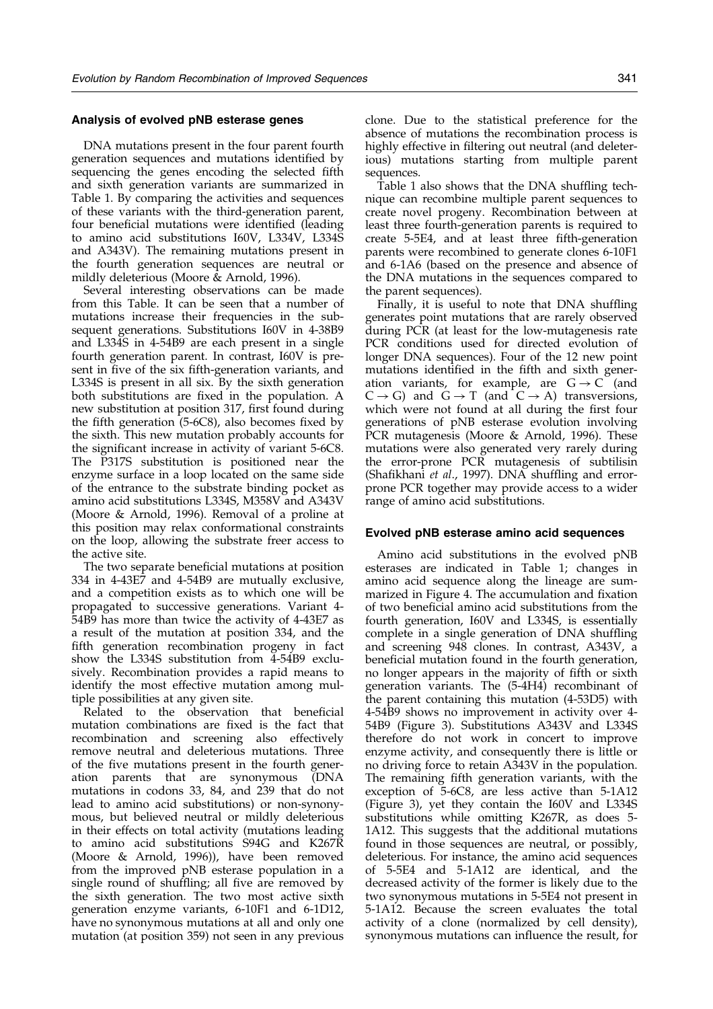#### Analysis of evolved pNB esterase genes

DNA mutations present in the four parent fourth generation sequences and mutations identified by sequencing the genes encoding the selected fifth and sixth generation variants are summarized in [Table](#page-2-0) 1. By comparing the activities and sequences of these variants with the third-generation parent, four beneficial mutations were identified (leading to amino acid substitutions I60V, L334V, L334S and A343V). The remaining mutations present in the fourth generation sequences are neutral or mildly deleterious [\(Moore](#page-11-0) & Arnold, 1996).

Several interesting observations can be made from this Table. It can be seen that a number of mutations increase their frequencies in the subsequent generations. Substitutions I60V in 4-38B9 and L334S in 4-54B9 are each present in a single fourth generation parent. In contrast, I60V is present in five of the six fifth-generation variants, and L334S is present in all six. By the sixth generation both substitutions are fixed in the population. A new substitution at position 317, first found during the fifth generation  $(5-6C8)$ , also becomes fixed by the sixth. This new mutation probably accounts for the significant increase in activity of variant 5-6C8. The P317S substitution is positioned near the enzyme surface in a loop located on the same side of the entrance to the substrate binding pocket as amino acid substitutions L334S, M358V and A343V [\(Moore](#page-11-0) & Arnold, 1996). Removal of a proline at this position may relax conformational constraints on the loop, allowing the substrate freer access to the active site.

The two separate beneficial mutations at position 334 in 4-43E7 and 4-54B9 are mutually exclusive, and a competition exists as to which one will be propagated to successive generations. Variant 4- 54B9 has more than twice the activity of 4-43E7 as a result of the mutation at position 334, and the fifth generation recombination progeny in fact show the L334S substitution from 4-54B9 exclusively. Recombination provides a rapid means to identify the most effective mutation among multiple possibilities at any given site.

Related to the observation that beneficial mutation combinations are fixed is the fact that recombination and screening also effectively remove neutral and deleterious mutations. Three of the five mutations present in the fourth generation parents that are synonymous (DNA mutations in codons 33, 84, and 239 that do not lead to amino acid substitutions) or non-synonymous, but believed neutral or mildly deleterious in their effects on total activity (mutations leading to amino acid substitutions S94G and K267R [\(Moore](#page-11-0) & Arnold, 1996)), have been removed from the improved pNB esterase population in a single round of shuffling; all five are removed by the sixth generation. The two most active sixth generation enzyme variants, 6-10F1 and 6-1D12, have no synonymous mutations at all and only one mutation (at position 359) not seen in any previous

clone. Due to the statistical preference for the absence of mutations the recombination process is highly effective in filtering out neutral (and deleterious) mutations starting from multiple parent sequences.

[Table](#page-2-0) 1 also shows that the DNA shuffling technique can recombine multiple parent sequences to create novel progeny. Recombination between at least three fourth-generation parents is required to create  $5-5E4$ , and at least three fifth-generation parents were recombined to generate clones 6-10F1 and 6-1A6 (based on the presence and absence of the DNA mutations in the sequences compared to the parent sequences).

Finally, it is useful to note that DNA shuffling generates point mutations that are rarely observed during PCR (at least for the low-mutagenesis rate PCR conditions used for directed evolution of longer DNA sequences). Four of the 12 new point mutations identified in the fifth and sixth generation variants, for example, are  $G \rightarrow C$  (and  $C \rightarrow G$ ) and  $G \rightarrow T$  (and  $C \rightarrow A$ ) transversions, which were not found at all during the first four generations of pNB esterase evolution involving PCR mutagenesis [\(Moore](#page-11-0) & Arnold, 1996). These mutations were also generated very rarely during the error-prone PCR mutagenesis of subtilisin (Shafikhani et al., 1997). DNA shuffling and errorprone PCR together may provide access to a wider range of amino acid substitutions.

#### Evolved pNB esterase amino acid sequences

Amino acid substitutions in the evolved pNB esterases are indicated in [Table](#page-2-0) 1; changes in amino acid sequence along the lineage are sum-marized in [Figure](#page-6-0) 4. The accumulation and fixation of two beneficial amino acid substitutions from the fourth generation, I60V and L334S, is essentially complete in a single generation of DNA shuffling and screening 948 clones. In contrast, A343V, a beneficial mutation found in the fourth generation, no longer appears in the majority of fifth or sixth generation variants. The (5-4H4) recombinant of the parent containing this mutation (4-53D5) with 4-54B9 shows no improvement in activity over 4- 54B9 [\(Figure](#page-4-0) 3). Substitutions A343V and L334S therefore do not work in concert to improve enzyme activity, and consequently there is little or no driving force to retain A343V in the population. The remaining fifth generation variants, with the exception of 5-6C8, are less active than 5-1A12 [\(Figure](#page-4-0) 3), yet they contain the I60V and L334S substitutions while omitting K267R, as does 5- 1A12. This suggests that the additional mutations found in those sequences are neutral, or possibly, deleterious. For instance, the amino acid sequences of 5-5E4 and 5-1A12 are identical, and the decreased activity of the former is likely due to the two synonymous mutations in 5-5E4 not present in 5-1A12. Because the screen evaluates the total activity of a clone (normalized by cell density), synonymous mutations can influence the result, for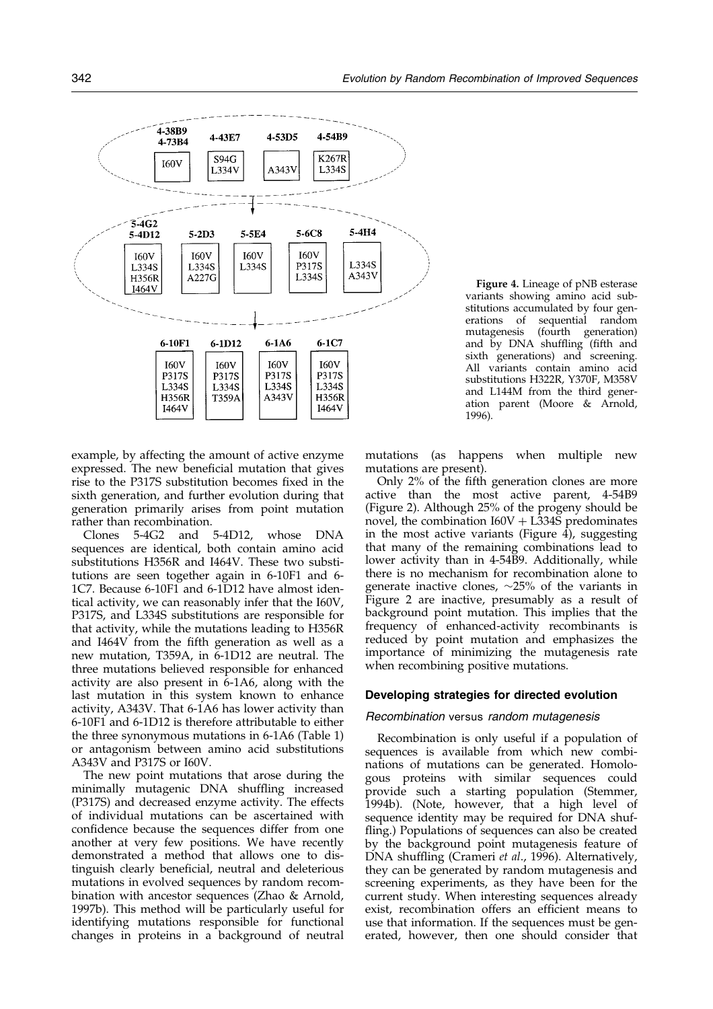<span id="page-6-0"></span>

Figure 4. Lineage of pNB esterase variants showing amino acid substitutions accumulated by four generations of sequential random<br>mutagenesis (fourth generation) (fourth generation) and by DNA shuffling (fifth and sixth generations) and screening. All variants contain amino acid substitutions H322R, Y370F, M358V and L144M from the third generation parent [\(Moore](#page-11-0) & Arnold, 1996).

example, by affecting the amount of active enzyme expressed. The new beneficial mutation that gives rise to the P317S substitution becomes fixed in the sixth generation, and further evolution during that generation primarily arises from point mutation

rather than recombination.<br>Clones 5-4G2 and 5-4D12, whose DNA sequences are identical, both contain amino acid substitutions H356R and I464V. These two substitutions are seen together again in 6-10F1 and 6- 1C7. Because 6-10F1 and 6-1D12 have almost identical activity, we can reasonably infer that the I60V, P317S, and L334S substitutions are responsible for that activity, while the mutations leading to H356R and I464V from the fifth generation as well as a new mutation, T359A, in 6-1D12 are neutral. The three mutations believed responsible for enhanced activity are also present in 6-1A6, along with the last mutation in this system known to enhance activity, A343V. That 6-1A6 has lower activity than 6-10F1 and 6-1D12 is therefore attributable to either the three synonymous mutations in 6-1A6 [\(Table](#page-2-0) 1) or antagonism between amino acid substitutions A343V and P317S or I60V.

The new point mutations that arose during the minimally mutagenic DNA shuffling increased (P317S) and decreased enzyme activity. The effects of individual mutations can be ascertained with confidence because the sequences differ from one another at very few positions. We have recently demonstrated a method that allows one to distinguish clearly beneficial, neutral and deleterious mutations in evolved sequences by random recombination with ancestor sequences [\(Zhao](#page-11-0) & Arnold, 1997b). This method will be particularly useful for identifying mutations responsible for functional changes in proteins in a background of neutral

mutations (as happens when multiple new mutations are present).

Only  $2\%$  of the fifth generation clones are more active than the most active parent, 4-54B9 [\(Figure](#page-4-0) 2). Although 25% of the progeny should be novel, the combination  $I60V + L334\overline{S}$  predominates in the most active variants (Figure 4), suggesting that many of the remaining combinations lead to lower activity than in 4-54B9. Additionally, while there is no mechanism for recombination alone to generate inactive clones,  $\sim$ 25% of the variants in [Figure](#page-4-0) 2 are inactive, presumably as a result of background point mutation. This implies that the frequency of enhanced-activity recombinants is reduced by point mutation and emphasizes the importance of minimizing the mutagenesis rate when recombining positive mutations.

#### Developing strategies for directed evolution

#### Recombination versus random mutagenesis

Recombination is only useful if a population of sequences is available from which new combinations of mutations can be generated. Homologous proteins with similar sequences could provide such a starting population [\(Stemmer](#page-11-0), 1994b). (Note, however, that a high level of sequence identity may be required for DNA shuf fling.) Populations of sequences can also be created by the background point mutagenesis feature of DNA shuffling [\(Crameri](#page-11-0) et al., 1996). Alternatively, they can be generated by random mutagenesis and screening experiments, as they have been for the current study. When interesting sequences already exist, recombination offers an efficient means to use that information. If the sequences must be generated, however, then one should consider that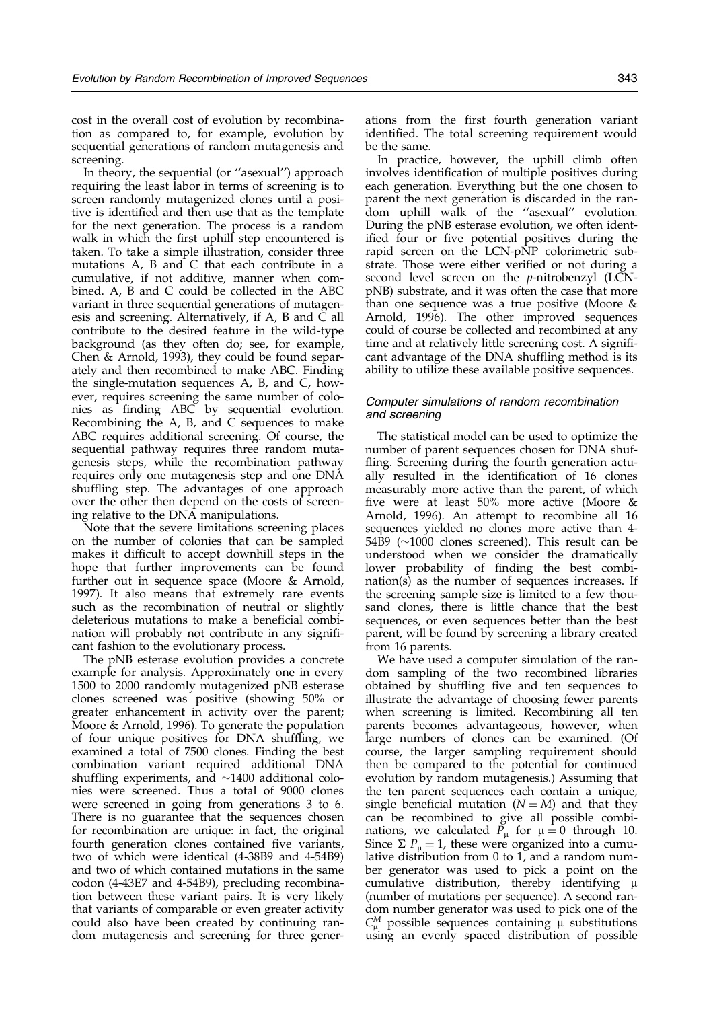cost in the overall cost of evolution by recombination as compared to, for example, evolution by sequential generations of random mutagenesis and screening.

In theory, the sequential (or "asexual") approach requiring the least labor in terms of screening is to screen randomly mutagenized clones until a positive is identified and then use that as the template for the next generation. The process is a random walk in which the first uphill step encountered is taken. To take a simple illustration, consider three mutations A, B and C that each contribute in a cumulative, if not additive, manner when combined. A, B and C could be collected in the ABC variant in three sequential generations of mutagenesis and screening. Alternatively, if A, B and C all contribute to the desired feature in the wild-type background (as they often do; see, for example, [Chen](#page-11-0) & Arnold, 1993), they could be found separately and then recombined to make ABC. Finding the single-mutation sequences A, B, and C, however, requires screening the same number of colonies as finding ABC by sequential evolution. Recombining the A, B, and C sequences to make ABC requires additional screening. Of course, the sequential pathway requires three random mutagenesis steps, while the recombination pathway requires only one mutagenesis step and one DNA shuffling step. The advantages of one approach over the other then depend on the costs of screening relative to the DNA manipulations.

Note that the severe limitations screening places on the number of colonies that can be sampled makes it difficult to accept downhill steps in the hope that further improvements can be found further out in sequence space [\(Moore](#page-11-0) & Arnold, 1997). It also means that extremely rare events such as the recombination of neutral or slightly deleterious mutations to make a beneficial combination will probably not contribute in any significant fashion to the evolutionary process.

The pNB esterase evolution provides a concrete example for analysis. Approximately one in every 1500 to 2000 randomly mutagenized pNB esterase clones screened was positive (showing 50% or greater enhancement in activity over the parent; [Moore](#page-11-0) & Arnold, 1996). To generate the population of four unique positives for DNA shuffling, we examined a total of 7500 clones. Finding the best combination variant required additional DNA shuffling experiments, and  $\sim$ 1400 additional colonies were screened. Thus a total of 9000 clones were screened in going from generations 3 to 6. There is no guarantee that the sequences chosen for recombination are unique: in fact, the original fourth generation clones contained five variants, two of which were identical (4-38B9 and 4-54B9) and two of which contained mutations in the same codon (4-43E7 and 4-54B9), precluding recombination between these variant pairs. It is very likely that variants of comparable or even greater activity could also have been created by continuing random mutagenesis and screening for three gener-

ations from the first fourth generation variant identified. The total screening requirement would be the same.

In practice, however, the uphill climb often involves identification of multiple positives during each generation. Everything but the one chosen to parent the next generation is discarded in the random uphill walk of the "asexual" evolution. During the pNB esterase evolution, we often identified four or five potential positives during the rapid screen on the LCN-pNP colorimetric substrate. Those were either verified or not during a second level screen on the p-nitrobenzyl (LCNpNB) substrate, and it was often the case that more than one sequence was a true positive [\(Moore](#page-11-0) & Arnold, 1996). The other improved sequences could of course be collected and recombined at any time and at relatively little screening cost. A significant advantage of the DNA shuffling method is its ability to utilize these available positive sequences.

#### Computer simulations of random recombination and screening

The statistical model can be used to optimize the number of parent sequences chosen for DNA shuf fling. Screening during the fourth generation actually resulted in the identification of 16 clones measurably more active than the parent, of which five were at least  $50\%$  more active [\(Moore](#page-11-0) & Arnold, 1996). An attempt to recombine all 16 sequences yielded no clones more active than 4-  $54\overline{B}9$  ( $\sim$ 1000 clones screened). This result can be understood when we consider the dramatically lower probability of finding the best combination(s) as the number of sequences increases. If the screening sample size is limited to a few thousand clones, there is little chance that the best sequences, or even sequences better than the best parent, will be found by screening a library created from 16 parents.

We have used a computer simulation of the random sampling of the two recombined libraries obtained by shuffling five and ten sequences to illustrate the advantage of choosing fewer parents when screening is limited. Recombining all ten parents becomes advantageous, however, when large numbers of clones can be examined. (Of course, the larger sampling requirement should then be compared to the potential for continued evolution by random mutagenesis.) Assuming that the ten parent sequences each contain a unique, single beneficial mutation ( $N = M$ ) and that they can be recombined to give all possible combinations, we calculated  $\tilde{P}_{\mu}$  for  $\mu = 0$  through 10. Since  $\Sigma P_{\mu} = 1$ , these were organized into a cumulative distribution from 0 to 1, and a random number generator was used to pick a point on the cumulative distribution, thereby identifying  $\mu$ (number of mutations per sequence). A second random number generator was used to pick one of the  $C_{\mu}^{M}$  possible sequences containing  $\mu$  substitutions using an evenly spaced distribution of possible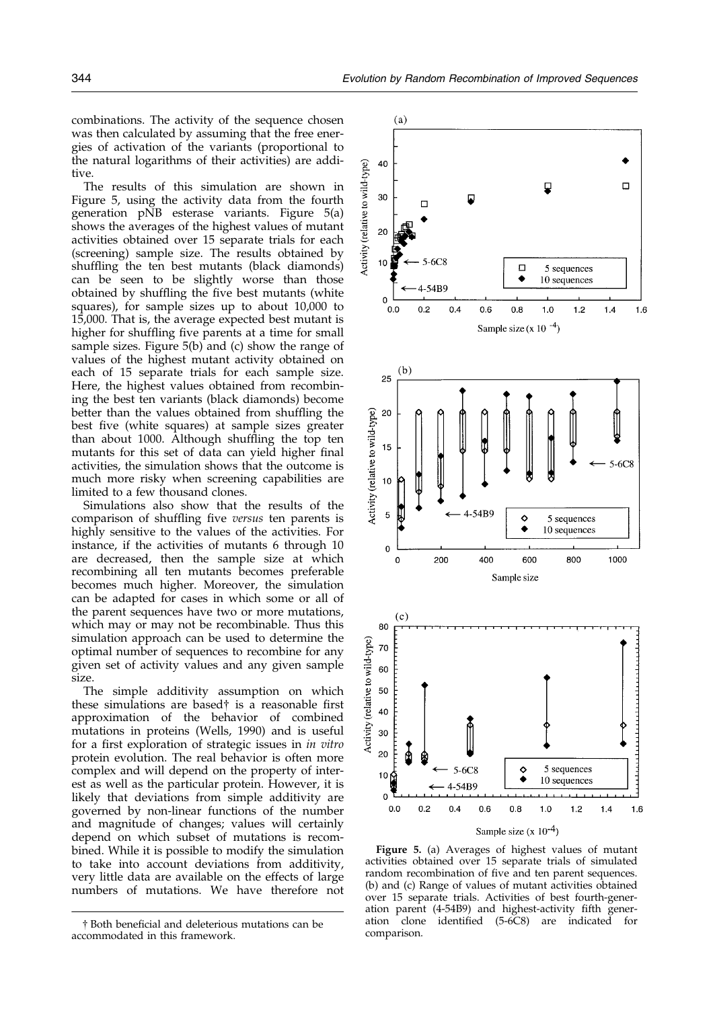<span id="page-8-0"></span>combinations. The activity of the sequence chosen was then calculated by assuming that the free energies of activation of the variants (proportional to the natural logarithms of their activities) are additive.

The results of this simulation are shown in Figure 5, using the activity data from the fourth generation pNB esterase variants. Figure 5(a) shows the averages of the highest values of mutant activities obtained over 15 separate trials for each (screening) sample size. The results obtained by shuffling the ten best mutants (black diamonds) can be seen to be slightly worse than those obtained by shuffling the five best mutants (white squares), for sample sizes up to about 10,000 to 15,000. That is, the average expected best mutant is higher for shuffling five parents at a time for small sample sizes. Figure  $5(b)$  and (c) show the range of values of the highest mutant activity obtained on each of 15 separate trials for each sample size. Here, the highest values obtained from recombining the best ten variants (black diamonds) become better than the values obtained from shuffling the best five (white squares) at sample sizes greater than about 1000. Although shuffling the top ten mutants for this set of data can yield higher final activities, the simulation shows that the outcome is much more risky when screening capabilities are limited to a few thousand clones.

Simulations also show that the results of the comparison of shuffling five versus ten parents is highly sensitive to the values of the activities. For instance, if the activities of mutants 6 through 10 are decreased, then the sample size at which recombining all ten mutants becomes preferable becomes much higher. Moreover, the simulation can be adapted for cases in which some or all of the parent sequences have two or more mutations, which may or may not be recombinable. Thus this simulation approach can be used to determine the optimal number of sequences to recombine for any given set of activity values and any given sample size.

The simple additivity assumption on which these simulations are based $\dagger$  is a reasonable first approximation of the behavior of combined mutations in proteins [\(Wells,](#page-11-0) 1990) and is useful for a first exploration of strategic issues in *in vitro* protein evolution. The real behavior is often more complex and will depend on the property of interest as well as the particular protein. However, it is likely that deviations from simple additivity are governed by non-linear functions of the number and magnitude of changes; values will certainly depend on which subset of mutations is recombined. While it is possible to modify the simulation to take into account deviations from additivity, very little data are available on the effects of large numbers of mutations. We have therefore not



Figure 5. (a) Averages of highest values of mutant activities obtained over 15 separate trials of simulated random recombination of five and ten parent sequences. (b) and (c) Range of values of mutant activities obtained over 15 separate trials. Activities of best fourth-generation parent (4-54B9) and highest-activity fifth gener-<br>ation clone identified (5-6C8) are indicated for identified  $(5-6C8)$  are indicated for

<sup>†</sup> Both beneficial and deleterious mutations can be all all done<br>commodated in this framework comparison. accommodated in this framework.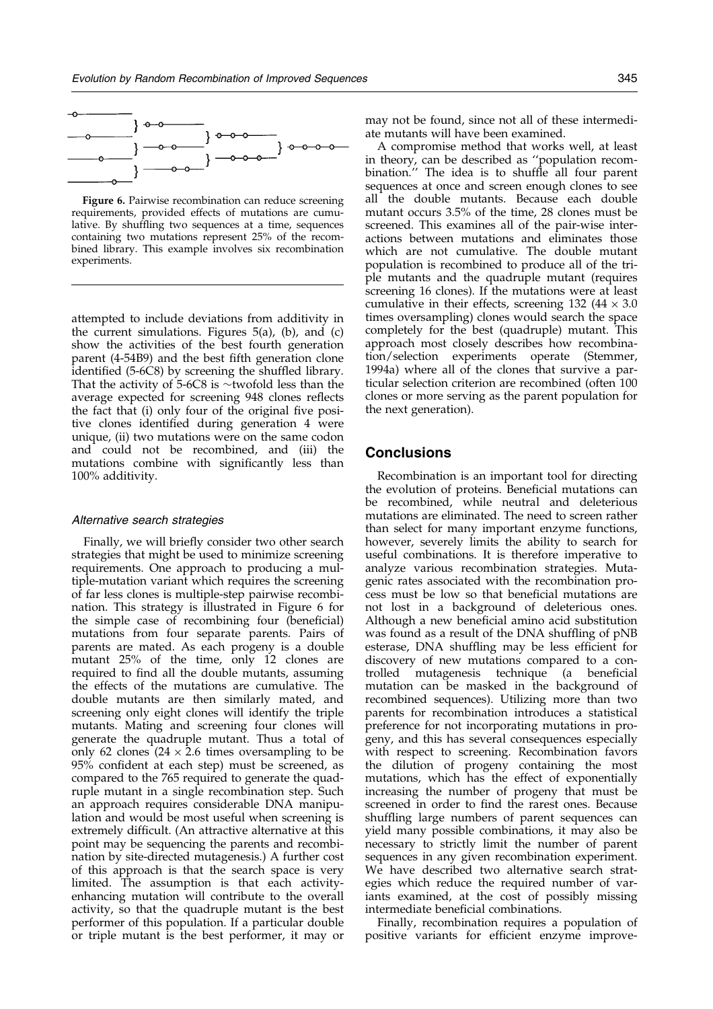

Figure 6. Pairwise recombination can reduce screening requirements, provided effects of mutations are cumulative. By shuffling two sequences at a time, sequences containing two mutations represent 25% of the recombined library. This example involves six recombination experiments.

attempted to include deviations from additivity in the current simulations. [Figures](#page-8-0)  $5(a)$ , (b), and [\(c\)](#page-8-0) show the activities of the best fourth generation parent  $(4-54B9)$  and the best fifth generation clone identified (5-6C8) by screening the shuffled library. That the activity of  $5-6C8$  is  $\sim$ twofold less than the average expected for screening 948 clones reflects the fact that (i) only four of the original five positive clones identified during generation 4 were unique, (ii) two mutations were on the same codon and could not be recombined, and (iii) the mutations combine with significantly less than 100% additivity.

#### Alternative search strategies

Finally, we will briefly consider two other search strategies that might be used to minimize screening requirements. One approach to producing a multiple-mutation variant which requires the screening of far less clones is multiple-step pairwise recombination. This strategy is illustrated in Figure 6 for the simple case of recombining four (beneficial) mutations from four separate parents. Pairs of parents are mated. As each progeny is a double mutant 25% of the time, only 12 clones are required to find all the double mutants, assuming the effects of the mutations are cumulative. The double mutants are then similarly mated, and screening only eight clones will identify the triple mutants. Mating and screening four clones will generate the quadruple mutant. Thus a total of only 62 clones  $(24 \times 2.6)$  times oversampling to be 95% confident at each step) must be screened, as compared to the 765 required to generate the quadruple mutant in a single recombination step. Such an approach requires considerable DNA manipulation and would be most useful when screening is extremely difficult. (An attractive alternative at this point may be sequencing the parents and recombination by site-directed mutagenesis.) A further cost of this approach is that the search space is very limited. The assumption is that each activityenhancing mutation will contribute to the overall activity, so that the quadruple mutant is the best performer of this population. If a particular double or triple mutant is the best performer, it may or may not be found, since not all of these intermediate mutants will have been examined.

A compromise method that works well, at least in theory, can be described as "population recombination." The idea is to shuffle all four parent sequences at once and screen enough clones to see all the double mutants. Because each double mutant occurs 3.5% of the time, 28 clones must be screened. This examines all of the pair-wise interactions between mutations and eliminates those which are not cumulative. The double mutant population is recombined to produce all of the triple mutants and the quadruple mutant (requires screening 16 clones). If the mutations were at least cumulative in their effects, screening  $132 \left(44 \times 3.0\right)$ times oversampling) clones would search the space completely for the best (quadruple) mutant. This approach most closely describes how recombination/selection experiments operate [\(Stemmer](#page-11-0), 1994a) where all of the clones that survive a particular selection criterion are recombined (often 100 clones or more serving as the parent population for the next generation).

# Conclusions

Recombination is an important tool for directing the evolution of proteins. Beneficial mutations can be recombined, while neutral and deleterious mutations are eliminated. The need to screen rather than select for many important enzyme functions, however, severely limits the ability to search for useful combinations. It is therefore imperative to analyze various recombination strategies. Mutagenic rates associated with the recombination process must be low so that beneficial mutations are not lost in a background of deleterious ones. Although a new beneficial amino acid substitution was found as a result of the DNA shuffling of  $pNB$ esterase, DNA shuffling may be less efficient for discovery of new mutations compared to a controlled mutagenesis technique (a beneficial mutation can be masked in the background of recombined sequences). Utilizing more than two parents for recombination introduces a statistical preference for not incorporating mutations in progeny, and this has several consequences especially with respect to screening. Recombination favors the dilution of progeny containing the most mutations, which has the effect of exponentially increasing the number of progeny that must be screened in order to find the rarest ones. Because shuffling large numbers of parent sequences can yield many possible combinations, it may also be necessary to strictly limit the number of parent sequences in any given recombination experiment. We have described two alternative search strategies which reduce the required number of variants examined, at the cost of possibly missing intermediate beneficial combinations.

Finally, recombination requires a population of positive variants for efficient enzyme improve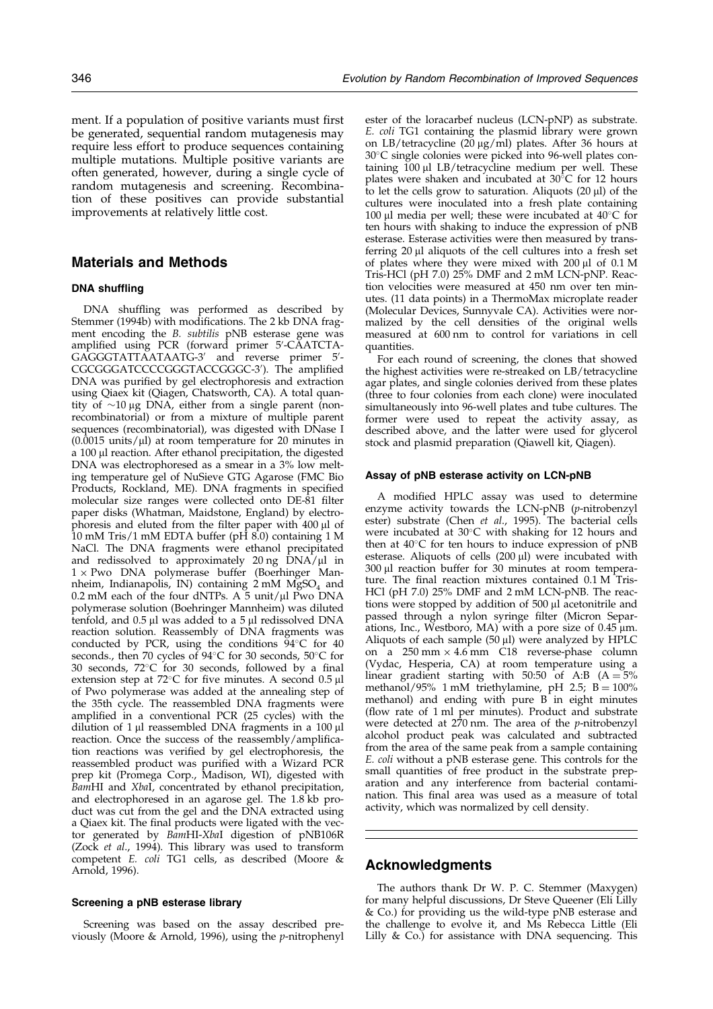ment. If a population of positive variants must first be generated, sequential random mutagenesis may require less effort to produce sequences containing multiple mutations. Multiple positive variants are often generated, however, during a single cycle of random mutagenesis and screening. Recombination of these positives can provide substantial improvements at relatively little cost.

# Materials and Methods

#### DNA shuffling

DNA shuffling was performed as described by [Stemmer](#page-11-0) (1994b) with modifications. The 2 kb DNA fragment encoding the B. subtilis pNB esterase gene was amplified using PCR (forward primer 5'-CAATCTA-GAGGGTATTAATAATG-3′ and reverse primer 5′-CGCGGGATCCCCGGGTACCGGGC-3'). The amplified DNA was purified by gel electrophoresis and extraction using Qiaex kit (Qiagen, Chatsworth, CA). A total quantity of  $\sim$ 10 µg DNA, either from a single parent (nonrecombinatorial) or from a mixture of multiple parent sequences (recombinatorial), was digested with DNase I  $(0.0015 \text{ units/}\mu\text{l})$  at room temperature for 20 minutes in a 100 µl reaction. After ethanol precipitation, the digested DNA was electrophoresed as a smear in a 3% low melting temperature gel of NuSieve GTG Agarose (FMC Bio Products, Rockland, ME). DNA fragments in specified molecular size ranges were collected onto DE-81 filter paper disks (Whatman, Maidstone, England) by electrophoresis and eluted from the filter paper with  $400\ \rm \mu l$  of 10 mM Tris/1 mM EDTA buffer (pH 8.0) containing 1 M NaCl. The DNA fragments were ethanol precipitated and redissolved to approximately  $20 \text{ ng DNA/µl}$  in  $1 \times$  Pwo DNA polymerase buffer (Boerhinger Mannheim, Indianapolis, IN) containing  $2 \text{ mM } MgSO_4$  and 0.2 mM each of the four dNTPs. A  $\bar{5}$  unit/ $\mu$ l Pwo DNA polymerase solution (Boehringer Mannheim) was diluted tenfold, and  $0.5 \mu l$  was added to a  $5 \mu l$  redissolved DNA reaction solution. Reassembly of DNA fragments was conducted by PCR, using the conditions  $94^{\circ}$ C for  $40$ seconds., then 70 cycles of  $94^{\circ}$ C for 30 seconds, 50 $^{\circ}$ C for 30 seconds,  $72^{\circ}$ C for 30 seconds, followed by a final extension step at  $72^{\circ}$ C for five minutes. A second 0.5 µl of Pwo polymerase was added at the annealing step of the 35th cycle. The reassembled DNA fragments were amplified in a conventional PCR (25 cycles) with the dilution of  $1 \mu$ l reassembled DNA fragments in a  $100 \mu$ l reaction. Once the success of the reassembly/amplification reactions was verified by gel electrophoresis, the reassembled product was purified with a Wizard PCR prep kit (Promega Corp., Madison, WI), digested with BamHI and XbaI, concentrated by ethanol precipitation, and electrophoresed in an agarose gel. The 1.8 kb product was cut from the gel and the DNA extracted using a Qiaex kit. The final products were ligated with the vector generated by BamHI-XbaI digestion of pNB106R [\(Zock](#page-11-0) *et al.*, 1994). This library was used to transform competent E. coli TG1 cells, as described [\(Moore](#page-11-0) & Arnold, 1996).

#### Screening a pNB esterase library

Screening was based on the assay described previously [\(Moore](#page-11-0) & Arnold, 1996), using the p-nitrophenyl

ester of the loracarbef nucleus (LCN-pNP) as substrate. E. coli TG1 containing the plasmid library were grown on LB/tetracycline ( $20 \mu g/ml$ ) plates. After 36 hours at 30°C single colonies were picked into 96-well plates containing  $100 \mu l$  LB/tetracycline medium per well. These plates were shaken and incubated at  $30^{\circ}$ C for 12 hours to let the cells grow to saturation. Aliquots  $(20 \mu l)$  of the cultures were inoculated into a fresh plate containing 100 µl media per well; these were incubated at  $40^{\circ}$ C for ten hours with shaking to induce the expression of pNB esterase. Esterase activities were then measured by transferring  $20 \mu l$  aliquots of the cell cultures into a fresh set of plates where they were mixed with  $200 \mu l$  of  $0.1 \text{ M}$ Tris-HCl (pH 7.0) 25% DMF and 2 mM LCN-pNP. Reaction velocities were measured at 450 nm over ten minutes. (11 data points) in a ThermoMax microplate reader (Molecular Devices, Sunnyvale CA). Activities were normalized by the cell densities of the original wells measured at 600 nm to control for variations in cell quantities.

For each round of screening, the clones that showed the highest activities were re-streaked on LB/tetracycline agar plates, and single colonies derived from these plates (three to four colonies from each clone) were inoculated simultaneously into 96-well plates and tube cultures. The former were used to repeat the activity assay, as described above, and the latter were used for glycerol stock and plasmid preparation (Qiawell kit, Qiagen).

#### Assay of pNB esterase activity on LCN-pNB

A modified HPLC assay was used to determine enzyme activity towards the LCN-pNB (p-nitrobenzyl ester) substrate [\(Chen](#page-11-0) et al., 1995). The bacterial cells were incubated at  $30^{\circ}$ C with shaking for 12 hours and then at  $40^{\circ}$ C for ten hours to induce expression of pNB esterase. Aliquots of cells  $(200 \,\mu l)$  were incubated with  $300 \mu l$  reaction buffer for  $30$  minutes at room temperature. The final reaction mixtures contained 0.1 M Tris-HCl (pH 7.0) 25% DMF and 2 mM LCN-pNB. The reactions were stopped by addition of 500 µl acetonitrile and passed through a nylon syringe filter (Micron Separations, Inc., Westboro, MA) with a pore size of  $0.45 \mu m$ . Aliquots of each sample  $(50 \mu l)$  were analyzed by HPLC on a  $250 \text{ mm} \times 4.6 \text{ mm}$  C18 reverse-phase column (Vydac, Hesperia, CA) at room temperature using a linear gradient starting with 50:50 of A:B  $(A = 5\%$ methanol/95% 1 mM triethylamine, pH 2.5;  $B = 100\%$ methanol) and ending with pure B in eight minutes (flow rate of 1 ml per minutes). Product and substrate were detected at  $270$  nm. The area of the *p*-nitrobenzyl alcohol product peak was calculated and subtracted from the area of the same peak from a sample containing E. coli without a pNB esterase gene. This controls for the small quantities of free product in the substrate preparation and any interference from bacterial contamination. This final area was used as a measure of total activity, which was normalized by cell density.

# Acknowledgments

The authors thank Dr W. P. C. Stemmer (Maxygen) for many helpful discussions, Dr Steve Queener (Eli Lilly & Co.) for providing us the wild-type pNB esterase and the challenge to evolve it, and Ms Rebecca Little (Eli Lilly & Co.) for assistance with DNA sequencing. This